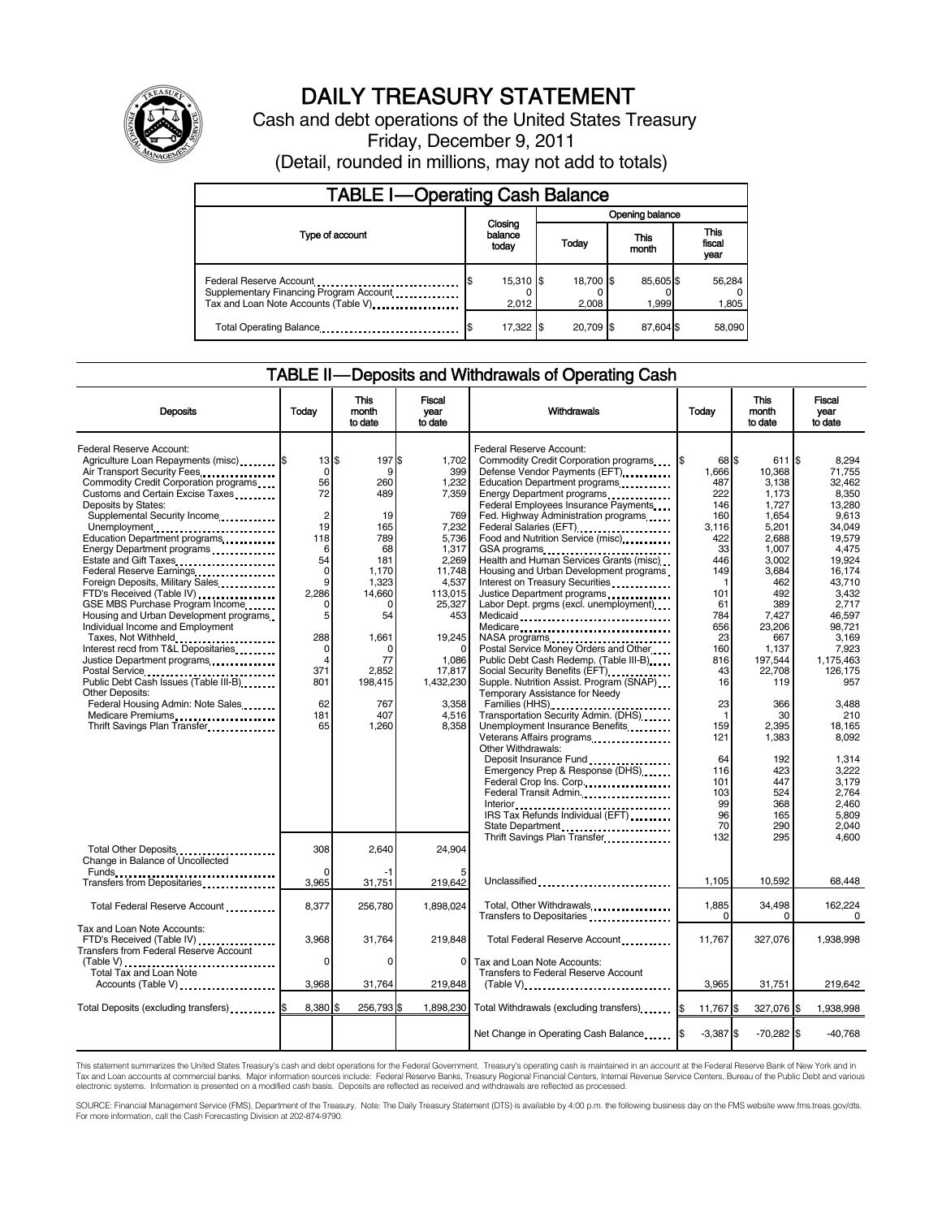

# DAILY TREASURY STATEMENT

Cash and debt operations of the United States Treasury Friday, December 9, 2011

(Detail, rounded in millions, may not add to totals)

| <b>TABLE I-Operating Cash Balance</b>                                                                      |                             |                    |                 |                    |  |                   |  |                               |
|------------------------------------------------------------------------------------------------------------|-----------------------------|--------------------|-----------------|--------------------|--|-------------------|--|-------------------------------|
|                                                                                                            | Closing<br>balance<br>today |                    | Opening balance |                    |  |                   |  |                               |
| Type of account                                                                                            |                             |                    |                 | Today              |  | This<br>month     |  | <b>This</b><br>fiscal<br>year |
| Federal Reserve Account<br>Supplementary Financing Program Account<br>Tax and Loan Note Accounts (Table V) |                             | 15,310 \$<br>2.012 |                 | 18.700 \$<br>2.008 |  | 85,605\$<br>1.999 |  | 56,284<br>1,805               |
| Total Operating Balance                                                                                    |                             | 17,322 \$          |                 | 20.709 \$          |  | 87,604 \$         |  | 58,090                        |

### TABLE II — Deposits and Withdrawals of Operating Cash

| <b>Deposits</b>                                                                                                                                                                                                                                                                                       | Today                                                         | This<br>month<br>to date                                 | Fiscal<br>vear<br>to date                                                | Withdrawals                                                                                                                                                                                                                                                                                                      | Today                                               | <b>This</b><br>month<br>to date                                | Fiscal<br>year<br>to date                                                 |
|-------------------------------------------------------------------------------------------------------------------------------------------------------------------------------------------------------------------------------------------------------------------------------------------------------|---------------------------------------------------------------|----------------------------------------------------------|--------------------------------------------------------------------------|------------------------------------------------------------------------------------------------------------------------------------------------------------------------------------------------------------------------------------------------------------------------------------------------------------------|-----------------------------------------------------|----------------------------------------------------------------|---------------------------------------------------------------------------|
| Federal Reserve Account:<br>Agriculture Loan Repayments (misc) [\$<br>Air Transport Security Fees<br>Commodity Credit Corporation programs<br>Customs and Certain Excise Taxes<br>Deposits by States:<br>Supplemental Security Income                                                                 | 13S<br>0<br>56<br>72<br>$\overline{2}$                        | 197\$<br>9<br>260<br>489<br>19                           | 1.702<br>399<br>1,232<br>7,359<br>769                                    | Federal Reserve Account:<br>Commodity Credit Corporation programs<br>Defense Vendor Payments (EFT)<br>Education Department programs<br>Energy Department programs<br>Federal Employees Insurance Payments<br>Fed. Highway Administration programs                                                                | 68 \$<br>1,666<br>487<br>222<br>146<br>160          | 611 \$<br>10,368<br>3,138<br>1,173<br>1,727<br>1,654           | 8.294<br>71.755<br>32.462<br>8,350<br>13,280<br>9.613                     |
| Unemployment<br>Education Department programs<br>Energy Department programs<br>Estate and Gift Taxes<br>Federal Reserve Earnings<br>Foreign Deposits, Military Sales<br>FTD's Received (Table IV)<br>GSE MBS Purchase Program Income                                                                  | 19<br>118<br>6<br>54<br>$\mathbf 0$<br>9<br>2,286<br>$\Omega$ | 165<br>789<br>68<br>181<br>1,170<br>1,323<br>14,660<br>0 | 7,232<br>5,736<br>1,317<br>2,269<br>11,748<br>4,537<br>113,015<br>25,327 | Federal Salaries (EFT)<br>1999 - The Marine Salaries (EFT)<br>Food and Nutrition Service (misc)<br>GSA programs<br>Health and Human Services Grants (misc)<br>Housing and Urban Development programs<br>Interest on Treasury Securities<br>Justice Department programs<br>Labor Dept. prgms (excl. unemployment) | 3,116<br>422<br>33<br>446<br>149<br>-1<br>101<br>61 | 5,201<br>2,688<br>1,007<br>3,002<br>3,684<br>462<br>492<br>389 | 34.049<br>19.579<br>4,475<br>19,924<br>16.174<br>43.710<br>3,432<br>2,717 |
| Housing and Urban Development programs<br>Individual Income and Employment<br>Taxes, Not Withheld<br>Interest recd from T&L Depositaries<br>Justice Department programs<br>Postal Service<br>Public Debt Cash Issues (Table III-B)<br>The Line of Cash Issues (Table III-B)<br><b>Other Deposits:</b> | 5<br>288<br>0<br>$\overline{4}$<br>371<br>801                 | 54<br>1,661<br>0<br>77<br>2,852<br>198,415               | 453<br>19,245<br>$\Omega$<br>1,086<br>17,817<br>1,432,230                | Medicaid<br>Medicare<br>NASA programs<br>Postal Service Money Orders and Other<br>Public Debt Cash Redemp. (Table III-B)<br>Social Security Benefits (EFT) <b>Social Security</b><br>Supple. Nutrition Assist. Program (SNAP)<br>Temporary Assistance for Needy                                                  | 784<br>656<br>23<br>160<br>816<br>43<br>16          | 7,427<br>23,206<br>667<br>1,137<br>197,544<br>22,708<br>119    | 46.597<br>98.721<br>3,169<br>7,923<br>1,175,463<br>126.175<br>957         |
| Federal Housing Admin: Note Sales<br>Medicare Premiums<br>Thrift Savings Plan Transfer                                                                                                                                                                                                                | 62<br>181<br>65                                               | 767<br>407<br>1,260                                      | 3,358<br>4,516<br>8.358                                                  | Families (HHS)<br>Transportation Security Admin. (DHS)<br>Unemployment Insurance Benefits<br>Other Withdrawals:                                                                                                                                                                                                  | 23<br>$\mathbf{1}$<br>159<br>121<br>64              | 366<br>30<br>2.395<br>1,383<br>192                             | 3,488<br>210<br>18,165<br>8,092<br>1,314                                  |
|                                                                                                                                                                                                                                                                                                       |                                                               |                                                          |                                                                          | Emergency Prep & Response (DHS)<br>Federal Crop Ins. Corp<br>Federal Transit Admin.<br>IRS Tax Refunds Individual (EFT) [1999]<br>State Department                                                                                                                                                               | 116<br>101<br>103<br>99<br>96<br>70                 | 423<br>447<br>524<br>368<br>165<br>290                         | 3.222<br>3.179<br>2.764<br>2.460<br>5.809<br>2,040                        |
| Total Other Deposits<br>Change in Balance of Uncollected                                                                                                                                                                                                                                              | 308<br>$\Omega$                                               | 2.640<br>-1                                              | 24.904                                                                   | Thrift Savings Plan Transfer                                                                                                                                                                                                                                                                                     | 132                                                 | 295                                                            | 4.600                                                                     |
| Transfers from Depositaries                                                                                                                                                                                                                                                                           | 3,965                                                         | 31,751                                                   | 219,642                                                                  | Unclassified                                                                                                                                                                                                                                                                                                     | 1,105                                               | 10,592                                                         | 68,448                                                                    |
| Total Federal Reserve Account                                                                                                                                                                                                                                                                         | 8,377                                                         | 256,780                                                  | 1,898,024                                                                | Total, Other Withdrawals<br>Transfers to Depositaries                                                                                                                                                                                                                                                            | 1,885<br>0                                          | 34,498<br>$\Omega$                                             | 162.224<br>$\Omega$                                                       |
| Tax and Loan Note Accounts:<br>FTD's Received (Table IV)<br>Transfers from Federal Reserve Account                                                                                                                                                                                                    | 3,968                                                         | 31,764<br>$\Omega$                                       | 219,848                                                                  | Total Federal Reserve Account                                                                                                                                                                                                                                                                                    | 11,767                                              | 327,076                                                        | 1,938,998                                                                 |
| (Table V)<br>Total Tax and Loan Note<br>Accounts (Table V)                                                                                                                                                                                                                                            | $\Omega$<br>3,968                                             | 31,764                                                   | $\Omega$<br>219,848                                                      | Tax and Loan Note Accounts:<br>Transfers to Federal Reserve Account<br>$(Table V)$ ,                                                                                                                                                                                                                             | 3,965                                               | 31,751                                                         | 219,642                                                                   |
| Total Deposits (excluding transfers) [100]                                                                                                                                                                                                                                                            | 8,380                                                         | 256,793 \$                                               |                                                                          | 1,898,230 Total Withdrawals (excluding transfers)                                                                                                                                                                                                                                                                | 11,767 \$<br>I\$                                    | 327,076 \$                                                     | 1,938,998                                                                 |
|                                                                                                                                                                                                                                                                                                       |                                                               |                                                          |                                                                          | Net Change in Operating Cash Balance                                                                                                                                                                                                                                                                             | $-3,387$ \$                                         | $-70,282$ \$                                                   | $-40.768$                                                                 |

This statement summarizes the United States Treasury's cash and debt operations for the Federal Government. Treasury's operating cash is maintained in an account at the Federal Reserve Bank of New York and in<br>Tax and Loan

SOURCE: Financial Management Service (FMS), Department of the Treasury. Note: The Daily Treasury Statement (DTS) is available by 4:00 p.m. the following business day on the FMS website www.fms.treas.gov/dts.<br>For more infor